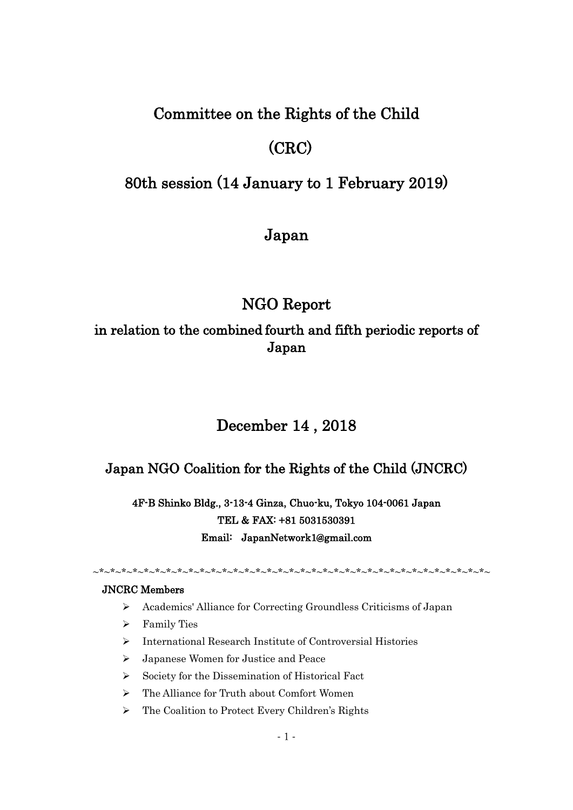## Committee on the Rights of the Child

# (CRC)

## 80th session (14 January to 1 February 2019)

## Japan

## NGO Report

## in relation to the combined fourth and fifth periodic reports of Japan

# December 14 , 2018

## Japan NGO Coalition for the Rights of the Child (JNCRC)

4F-B Shinko Bldg., 3-13-4 Ginza, Chuo-ku, Tokyo 104-0061 Japan TEL & FAX: +81 5031530391 Email: JapanNetwork1@gmail.com

~\*~\*~\*~\*~\*~\*~\*~\*~\*~\*~\*~\*~\*~\*~\*~\*~\*~\*~\*~\*~\*~\*~\*~\*~\*~\*~\*~\*~\*~\*~\*~\*~\*~\*~\*~

### JNCRC Members

- ➢ Academics' Alliance for Correcting Groundless Criticisms of Japan
- ➢ Family Ties
- ➢ International Research Institute of Controversial Histories
- ➢ Japanese Women for Justice and Peace
- ➢ Society for the Dissemination of Historical Fact
- ➢ The Alliance for Truth about Comfort Women
- ➢ The Coalition to Protect Every Children's Rights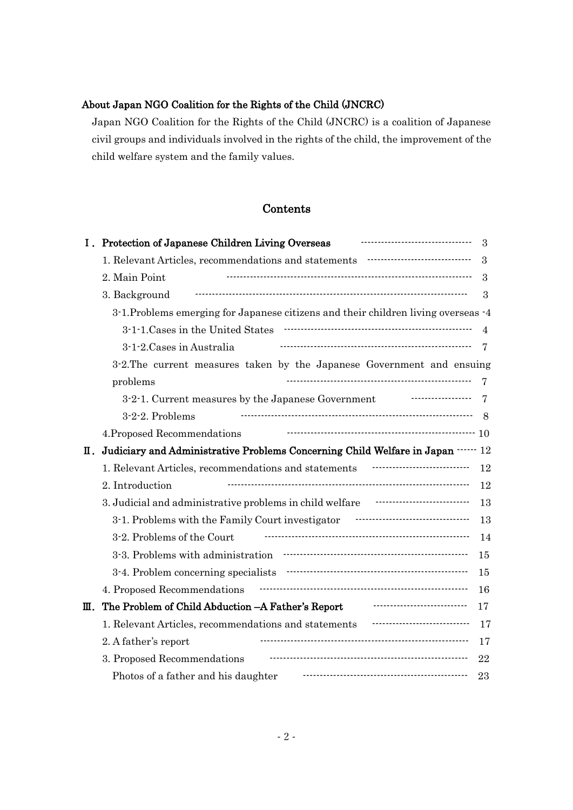### About Japan NGO Coalition for the Rights of the Child (JNCRC)

Japan NGO Coalition for the Rights of the Child (JNCRC) is a coalition of Japanese civil groups and individuals involved in the rights of the child, the improvement of the child welfare system and the family values.

### Contents

| Ι. | Protection of Japanese Children Living Overseas                                                                         | 3             |
|----|-------------------------------------------------------------------------------------------------------------------------|---------------|
|    | 1. Relevant Articles, recommendations and statements manufacture controller                                             | $\mathcal{S}$ |
|    | 2. Main Point                                                                                                           | 3             |
|    | 3. Background                                                                                                           | 3             |
|    | 3.1. Problems emerging for Japanese citizens and their children living overseas $-4$                                    |               |
|    |                                                                                                                         | 4             |
|    | 3-1-2. Cases in Australia                                                                                               | 7             |
|    | 3-2. The current measures taken by the Japanese Government and ensuing                                                  |               |
|    | problems                                                                                                                | 7             |
|    | 3-2-1. Current measures by the Japanese Government                                                                      | 7             |
|    | 3-2-2. Problems                                                                                                         | 8             |
|    | 4. Proposed Recommendations                                                                                             |               |
| Ш. | Judiciary and Administrative Problems Concerning Child Welfare in Japan …… 12                                           |               |
|    | ------------------------------<br>1. Relevant Articles, recommendations and statements                                  | 12            |
|    | 2. Introduction                                                                                                         | 12            |
|    | 3. Judicial and administrative problems in child welfare <b>The Constant Contract Constant</b>                          | 13            |
|    | 3-1. Problems with the Family Court investigator Factor Processors and S-1. Problems with the Family Court investigator | 13            |
|    | 3-2. Problems of the Court                                                                                              | 14            |
|    |                                                                                                                         | 15            |
|    |                                                                                                                         | 15            |
|    | 4. Proposed Recommendations                                                                                             | 16            |
| Ш. | The Problem of Child Abduction - A Father's Report                                                                      | 17            |
|    | 1. Relevant Articles, recommendations and statements                                                                    | 17            |
|    | 2. A father's report                                                                                                    | 17            |
|    | 3. Proposed Recommendations                                                                                             | 22            |
|    | Photos of a father and his daughter                                                                                     | 23            |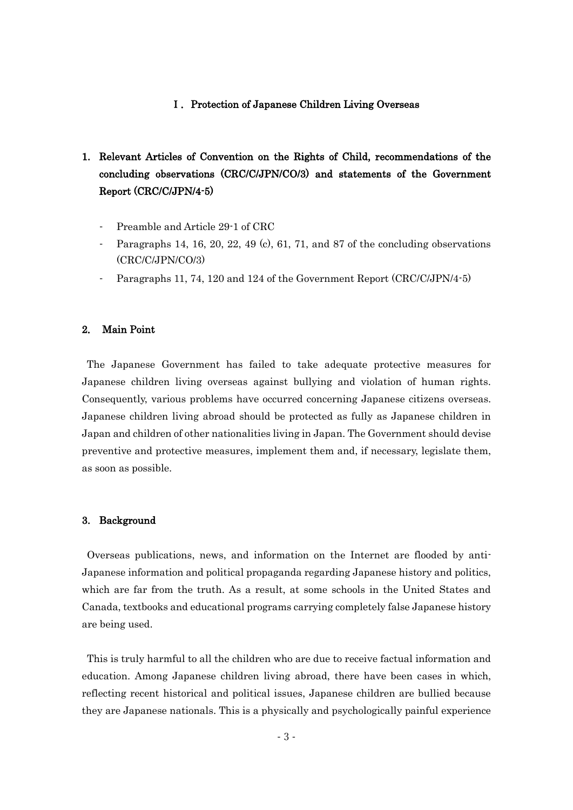#### Ⅰ.Protection of Japanese Children Living Overseas

- 1. Relevant Articles of Convention on the Rights of Child, recommendations of the concluding observations (CRC/C/JPN/CO/3) and statements of the Government Report (CRC/C/JPN/4-5)
	- Preamble and Article 29-1 of CRC
	- Paragraphs 14, 16, 20, 22, 49 (c), 61, 71, and 87 of the concluding observations (CRC/C/JPN/CO/3)
	- Paragraphs 11, 74, 120 and 124 of the Government Report (CRC/C/JPN/4-5)

#### 2. Main Point

The Japanese Government has failed to take adequate protective measures for Japanese children living overseas against bullying and violation of human rights. Consequently, various problems have occurred concerning Japanese citizens overseas. Japanese children living abroad should be protected as fully as Japanese children in Japan and children of other nationalities living in Japan. The Government should devise preventive and protective measures, implement them and, if necessary, legislate them, as soon as possible.

#### 3. Background

Overseas publications, news, and information on the Internet are flooded by anti-Japanese information and political propaganda regarding Japanese history and politics, which are far from the truth. As a result, at some schools in the United States and Canada, textbooks and educational programs carrying completely false Japanese history are being used.

This is truly harmful to all the children who are due to receive factual information and education. Among Japanese children living abroad, there have been cases in which, reflecting recent historical and political issues, Japanese children are bullied because they are Japanese nationals. This is a physically and psychologically painful experience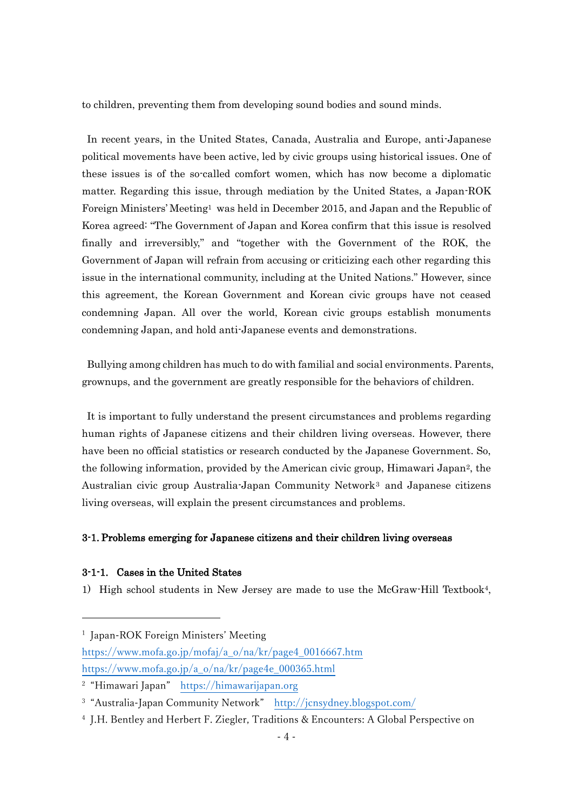to children, preventing them from developing sound bodies and sound minds.

In recent years, in the United States, Canada, Australia and Europe, anti-Japanese political movements have been active, led by civic groups using historical issues. One of these issues is of the so-called comfort women, which has now become a diplomatic matter. Regarding this issue, through mediation by the United States, a Japan-ROK Foreign Ministers' Meeting<sup>1</sup> was held in December 2015, and Japan and the Republic of Korea agreed: "The Government of Japan and Korea confirm that this issue is resolved finally and irreversibly," and "together with the Government of the ROK, the Government of Japan will refrain from accusing or criticizing each other regarding this issue in the international community, including at the United Nations." However, since this agreement, the Korean Government and Korean civic groups have not ceased condemning Japan. All over the world, Korean civic groups establish monuments condemning Japan, and hold anti-Japanese events and demonstrations.

Bullying among children has much to do with familial and social environments. Parents, grownups, and the government are greatly responsible for the behaviors of children.

It is important to fully understand the present circumstances and problems regarding human rights of Japanese citizens and their children living overseas. However, there have been no official statistics or research conducted by the Japanese Government. So, the following information, provided by the American civic group, Himawari Japan2, the Australian civic group Australia-Japan Community Network<sup>3</sup> and Japanese citizens living overseas, will explain the present circumstances and problems.

#### 3-1. Problems emerging for Japanese citizens and their children living overseas

#### 3-1-1. Cases in the United States

-

1) High school students in New Jersey are made to use the McGraw-Hill Textbook4,

[https://www.mofa.go.jp/mofaj/a\\_o/na/kr/page4\\_0016667.htm](https://www.mofa.go.jp/mofaj/a_o/na/kr/page4_0016667.htm) [https://www.mofa.go.jp/a\\_o/na/kr/page4e\\_000365.html](https://www.mofa.go.jp/a_o/na/kr/page4e_000365.html)

<sup>1</sup> Japan-ROK Foreign Ministers' Meeting

<sup>2</sup> "Himawari Japan" [https://himawarijapan.org](https://himawarijapan.org/)

<sup>&</sup>lt;sup>3</sup> "Australia-Japan Community Network" <http://jcnsydney.blogspot.com/>

<sup>4</sup> J.H. Bentley and Herbert F. Ziegler, Traditions & Encounters: A Global Perspective on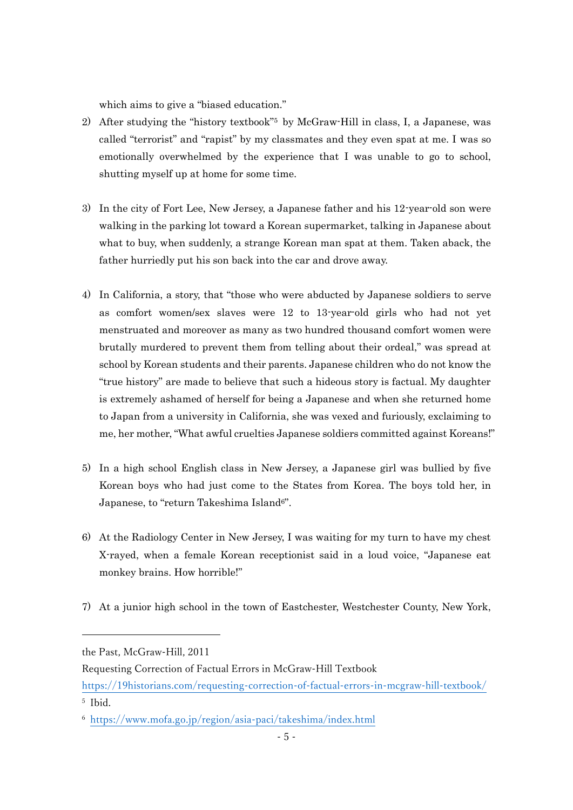which aims to give a "biased education."

- 2) After studying the "history textbook"<sup>5</sup> by McGraw-Hill in class, I, a Japanese, was called "terrorist" and "rapist" by my classmates and they even spat at me. I was so emotionally overwhelmed by the experience that I was unable to go to school, shutting myself up at home for some time.
- 3) In the city of Fort Lee, New Jersey, a Japanese father and his 12-year-old son were walking in the parking lot toward a Korean supermarket, talking in Japanese about what to buy, when suddenly, a strange Korean man spat at them. Taken aback, the father hurriedly put his son back into the car and drove away.
- 4) In California, a story, that "those who were abducted by Japanese soldiers to serve as comfort women/sex slaves were 12 to 13-year-old girls who had not yet menstruated and moreover as many as two hundred thousand comfort women were brutally murdered to prevent them from telling about their ordeal," was spread at school by Korean students and their parents. Japanese children who do not know the "true history" are made to believe that such a hideous story is factual. My daughter is extremely ashamed of herself for being a Japanese and when she returned home to Japan from a university in California, she was vexed and furiously, exclaiming to me, her mother, "What awful cruelties Japanese soldiers committed against Koreans!"
- 5) In a high school English class in New Jersey, a Japanese girl was bullied by five Korean boys who had just come to the States from Korea. The boys told her, in Japanese, to "return Takeshima Island6".
- 6) At the Radiology Center in New Jersey, I was waiting for my turn to have my chest X-rayed, when a female Korean receptionist said in a loud voice, "Japanese eat monkey brains. How horrible!"
- 7) At a junior high school in the town of Eastchester, Westchester County, New York,

-

the Past, McGraw-Hill, 2011

Requesting Correction of Factual Errors in McGraw-Hill Textbook

<https://19historians.com/requesting-correction-of-factual-errors-in-mcgraw-hill-textbook/> 5 Ibid.

<sup>6</sup> <https://www.mofa.go.jp/region/asia-paci/takeshima/index.html>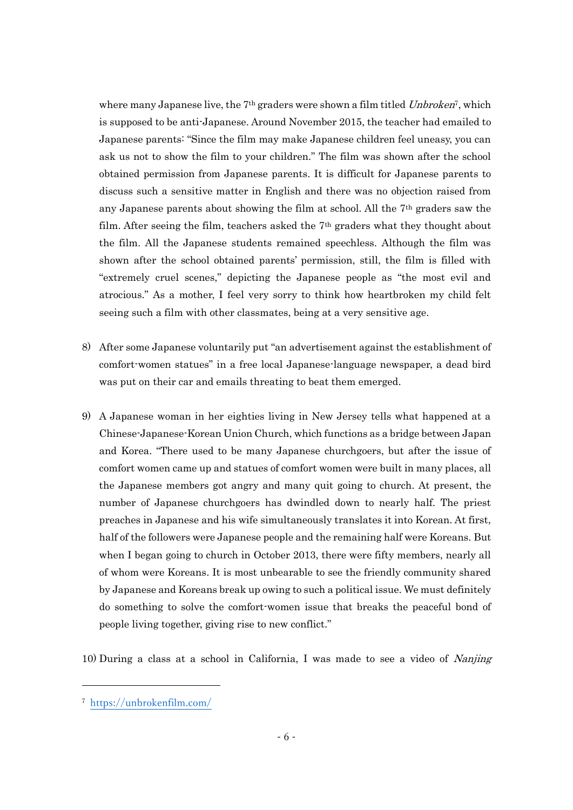where many Japanese live, the 7<sup>th</sup> graders were shown a film titled *Unbroken*<sup>7</sup>, which is supposed to be anti-Japanese. Around November 2015, the teacher had emailed to Japanese parents: "Since the film may make Japanese children feel uneasy, you can ask us not to show the film to your children." The film was shown after the school obtained permission from Japanese parents. It is difficult for Japanese parents to discuss such a sensitive matter in English and there was no objection raised from any Japanese parents about showing the film at school. All the 7th graders saw the film. After seeing the film, teachers asked the 7th graders what they thought about the film. All the Japanese students remained speechless. Although the film was shown after the school obtained parents' permission, still, the film is filled with "extremely cruel scenes," depicting the Japanese people as "the most evil and atrocious." As a mother, I feel very sorry to think how heartbroken my child felt seeing such a film with other classmates, being at a very sensitive age.

- 8) After some Japanese voluntarily put "an advertisement against the establishment of comfort-women statues" in a free local Japanese-language newspaper, a dead bird was put on their car and emails threating to beat them emerged.
- 9) A Japanese woman in her eighties living in New Jersey tells what happened at a Chinese-Japanese-Korean Union Church, which functions as a bridge between Japan and Korea. "There used to be many Japanese churchgoers, but after the issue of comfort women came up and statues of comfort women were built in many places, all the Japanese members got angry and many quit going to church. At present, the number of Japanese churchgoers has dwindled down to nearly half. The priest preaches in Japanese and his wife simultaneously translates it into Korean. At first, half of the followers were Japanese people and the remaining half were Koreans. But when I began going to church in October 2013, there were fifty members, nearly all of whom were Koreans. It is most unbearable to see the friendly community shared by Japanese and Koreans break up owing to such a political issue. We must definitely do something to solve the comfort-women issue that breaks the peaceful bond of people living together, giving rise to new conflict."

10) During a class at a school in California, I was made to see a video of Nanjing

-

<sup>7</sup> <https://unbrokenfilm.com/>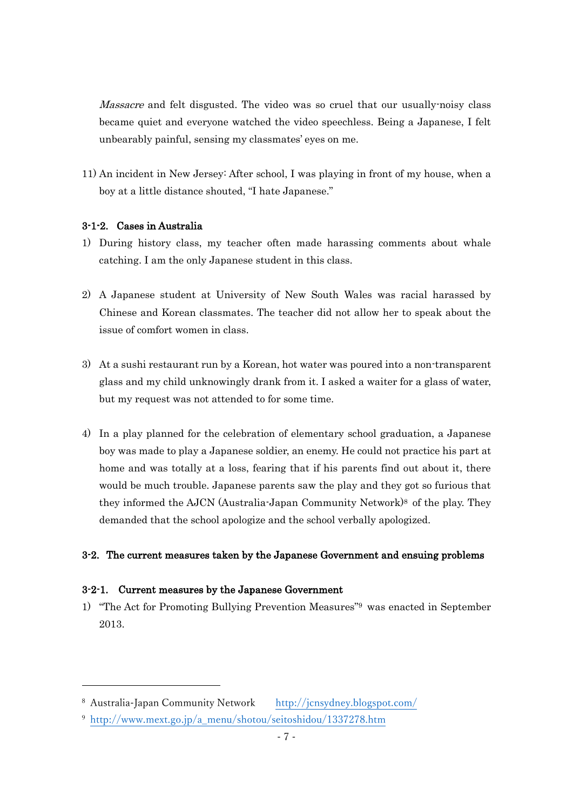Massacre and felt disgusted. The video was so cruel that our usually-noisy class became quiet and everyone watched the video speechless. Being a Japanese, I felt unbearably painful, sensing my classmates' eyes on me.

11) An incident in New Jersey: After school, I was playing in front of my house, when a boy at a little distance shouted, "I hate Japanese."

#### 3-1-2. Cases in Australia

- 1) During history class, my teacher often made harassing comments about whale catching. I am the only Japanese student in this class.
- 2) A Japanese student at University of New South Wales was racial harassed by Chinese and Korean classmates. The teacher did not allow her to speak about the issue of comfort women in class.
- 3) At a sushi restaurant run by a Korean, hot water was poured into a non-transparent glass and my child unknowingly drank from it. I asked a waiter for a glass of water, but my request was not attended to for some time.
- 4) In a play planned for the celebration of elementary school graduation, a Japanese boy was made to play a Japanese soldier, an enemy. He could not practice his part at home and was totally at a loss, fearing that if his parents find out about it, there would be much trouble. Japanese parents saw the play and they got so furious that they informed the AJCN (Australia-Japan Community Network)<sup>8</sup> of the play. They demanded that the school apologize and the school verbally apologized.

### 3-2. The current measures taken by the Japanese Government and ensuing problems

#### 3-2-1. Current measures by the Japanese Government

-

1) "The Act for Promoting Bullying Prevention Measures"<sup>9</sup> was enacted in September 2013.

<sup>8</sup> Australia-Japan Community Network <http://jcnsydney.blogspot.com/>

<sup>9</sup> [http://www.mext.go.jp/a\\_menu/shotou/seitoshidou/1337278.htm](http://www.mext.go.jp/a_menu/shotou/seitoshidou/1337278.htm)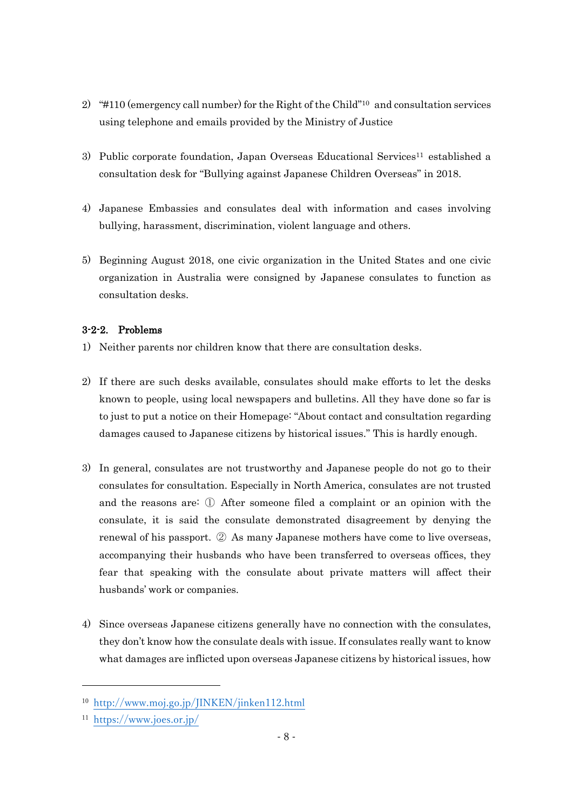- 2) "#110 (emergency call number) for the Right of the Child"<sup>10</sup> and consultation services using telephone and emails provided by the Ministry of Justice
- 3) Public corporate foundation, Japan Overseas Educational Services<sup>11</sup> established a consultation desk for "Bullying against Japanese Children Overseas" in 2018.
- 4) Japanese Embassies and consulates deal with information and cases involving bullying, harassment, discrimination, violent language and others.
- 5) Beginning August 2018, one civic organization in the United States and one civic organization in Australia were consigned by Japanese consulates to function as consultation desks.

### 3-2-2. Problems

- 1) Neither parents nor children know that there are consultation desks.
- 2) If there are such desks available, consulates should make efforts to let the desks known to people, using local newspapers and bulletins. All they have done so far is to just to put a notice on their Homepage: "About contact and consultation regarding damages caused to Japanese citizens by historical issues." This is hardly enough.
- 3) In general, consulates are not trustworthy and Japanese people do not go to their consulates for consultation. Especially in North America, consulates are not trusted and the reasons are: ① After someone filed a complaint or an opinion with the consulate, it is said the consulate demonstrated disagreement by denying the renewal of his passport. ② As many Japanese mothers have come to live overseas, accompanying their husbands who have been transferred to overseas offices, they fear that speaking with the consulate about private matters will affect their husbands' work or companies.
- 4) Since overseas Japanese citizens generally have no connection with the consulates, they don't know how the consulate deals with issue. If consulates really want to know what damages are inflicted upon overseas Japanese citizens by historical issues, how

-

<sup>10</sup> <http://www.moj.go.jp/JINKEN/jinken112.html>

<sup>11</sup> <https://www.joes.or.jp/>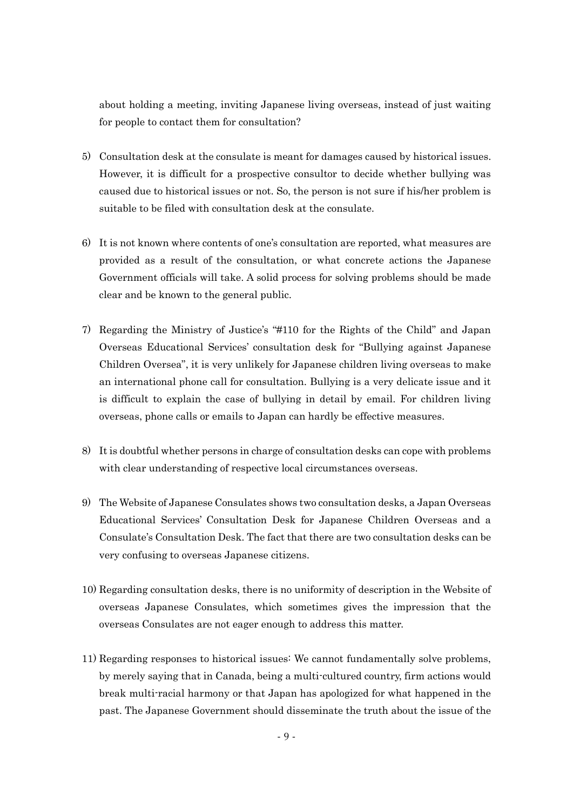about holding a meeting, inviting Japanese living overseas, instead of just waiting for people to contact them for consultation?

- 5) Consultation desk at the consulate is meant for damages caused by historical issues. However, it is difficult for a prospective consultor to decide whether bullying was caused due to historical issues or not. So, the person is not sure if his/her problem is suitable to be filed with consultation desk at the consulate.
- 6) It is not known where contents of one's consultation are reported, what measures are provided as a result of the consultation, or what concrete actions the Japanese Government officials will take. A solid process for solving problems should be made clear and be known to the general public.
- 7) Regarding the Ministry of Justice's "#110 for the Rights of the Child" and Japan Overseas Educational Services' consultation desk for "Bullying against Japanese Children Oversea", it is very unlikely for Japanese children living overseas to make an international phone call for consultation. Bullying is a very delicate issue and it is difficult to explain the case of bullying in detail by email. For children living overseas, phone calls or emails to Japan can hardly be effective measures.
- 8) It is doubtful whether persons in charge of consultation desks can cope with problems with clear understanding of respective local circumstances overseas.
- 9) The Website of Japanese Consulates shows two consultation desks, a Japan Overseas Educational Services' Consultation Desk for Japanese Children Overseas and a Consulate's Consultation Desk. The fact that there are two consultation desks can be very confusing to overseas Japanese citizens.
- 10) Regarding consultation desks, there is no uniformity of description in the Website of overseas Japanese Consulates, which sometimes gives the impression that the overseas Consulates are not eager enough to address this matter.
- 11) Regarding responses to historical issues: We cannot fundamentally solve problems, by merely saying that in Canada, being a multi-cultured country, firm actions would break multi-racial harmony or that Japan has apologized for what happened in the past. The Japanese Government should disseminate the truth about the issue of the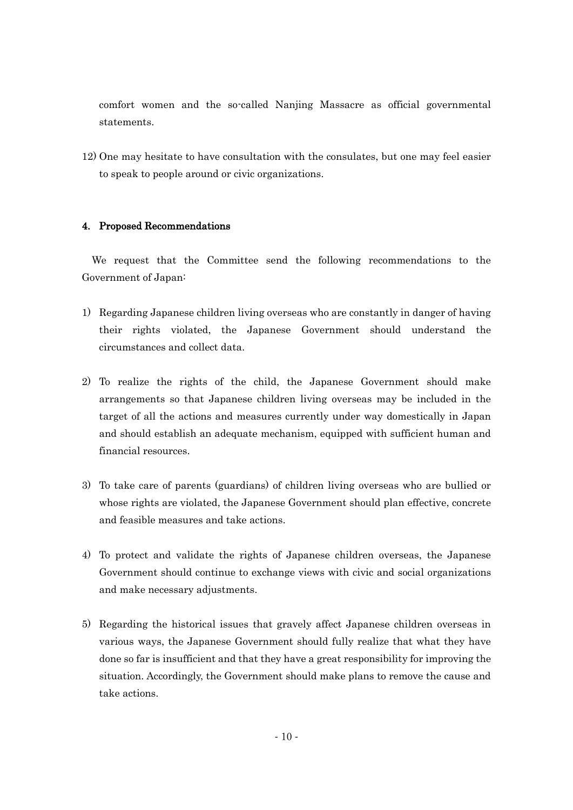comfort women and the so-called Nanjing Massacre as official governmental statements.

12) One may hesitate to have consultation with the consulates, but one may feel easier to speak to people around or civic organizations.

#### 4. Proposed Recommendations

 We request that the Committee send the following recommendations to the Government of Japan:

- 1) Regarding Japanese children living overseas who are constantly in danger of having their rights violated, the Japanese Government should understand the circumstances and collect data.
- 2) To realize the rights of the child, the Japanese Government should make arrangements so that Japanese children living overseas may be included in the target of all the actions and measures currently under way domestically in Japan and should establish an adequate mechanism, equipped with sufficient human and financial resources.
- 3) To take care of parents (guardians) of children living overseas who are bullied or whose rights are violated, the Japanese Government should plan effective, concrete and feasible measures and take actions.
- 4) To protect and validate the rights of Japanese children overseas, the Japanese Government should continue to exchange views with civic and social organizations and make necessary adjustments.
- 5) Regarding the historical issues that gravely affect Japanese children overseas in various ways, the Japanese Government should fully realize that what they have done so far is insufficient and that they have a great responsibility for improving the situation. Accordingly, the Government should make plans to remove the cause and take actions.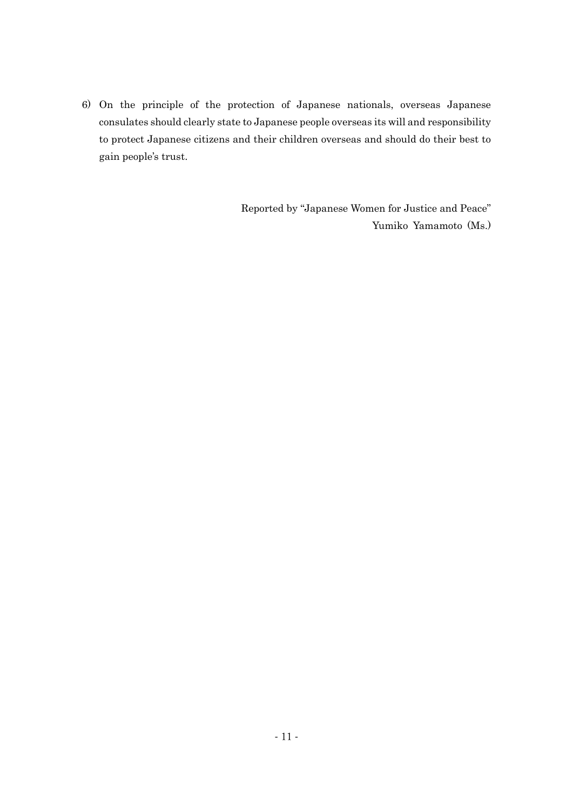6) On the principle of the protection of Japanese nationals, overseas Japanese consulates should clearly state to Japanese people overseas its will and responsibility to protect Japanese citizens and their children overseas and should do their best to gain people's trust.

> Reported by "Japanese Women for Justice and Peace" Yumiko Yamamoto (Ms.)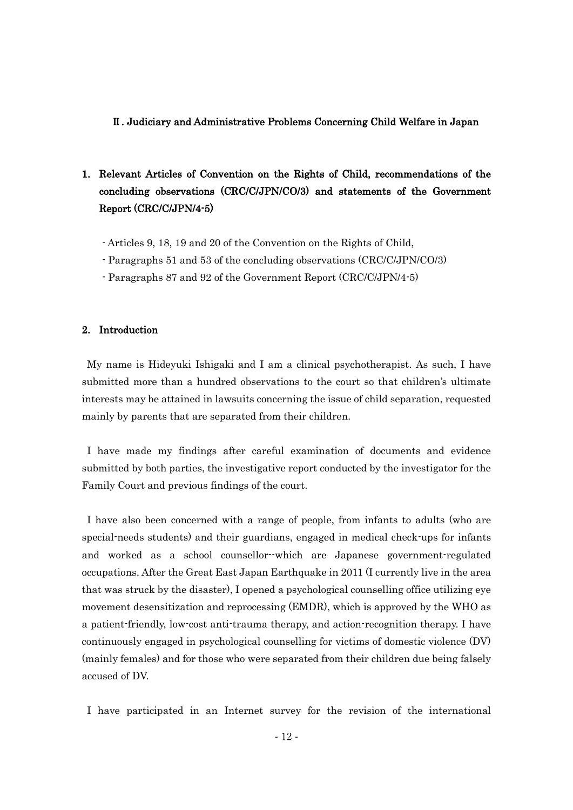#### Ⅱ. Judiciary and Administrative Problems Concerning Child Welfare in Japan

### 1. Relevant Articles of Convention on the Rights of Child, recommendations of the concluding observations (CRC/C/JPN/CO/3) and statements of the Government Report (CRC/C/JPN/4-5)

- Articles 9, 18, 19 and 20 of the Convention on the Rights of Child,
- Paragraphs 51 and 53 of the concluding observations (CRC/C/JPN/CO/3)
- Paragraphs 87 and 92 of the Government Report (CRC/C/JPN/4-5)

#### 2. Introduction

My name is Hideyuki Ishigaki and I am a clinical psychotherapist. As such, I have submitted more than a hundred observations to the court so that children's ultimate interests may be attained in lawsuits concerning the issue of child separation, requested mainly by parents that are separated from their children.

I have made my findings after careful examination of documents and evidence submitted by both parties, the investigative report conducted by the investigator for the Family Court and previous findings of the court.

I have also been concerned with a range of people, from infants to adults (who are special-needs students) and their guardians, engaged in medical check-ups for infants and worked as a school counsellor--which are Japanese government-regulated occupations. After the Great East Japan Earthquake in 2011 (I currently live in the area that was struck by the disaster), I opened a psychological counselling office utilizing eye movement desensitization and reprocessing (EMDR), which is approved by the WHO as a patient-friendly, low-cost anti-trauma therapy, and action-recognition therapy. I have continuously engaged in psychological counselling for victims of domestic violence (DV) (mainly females) and for those who were separated from their children due being falsely accused of DV.

I have participated in an Internet survey for the revision of the international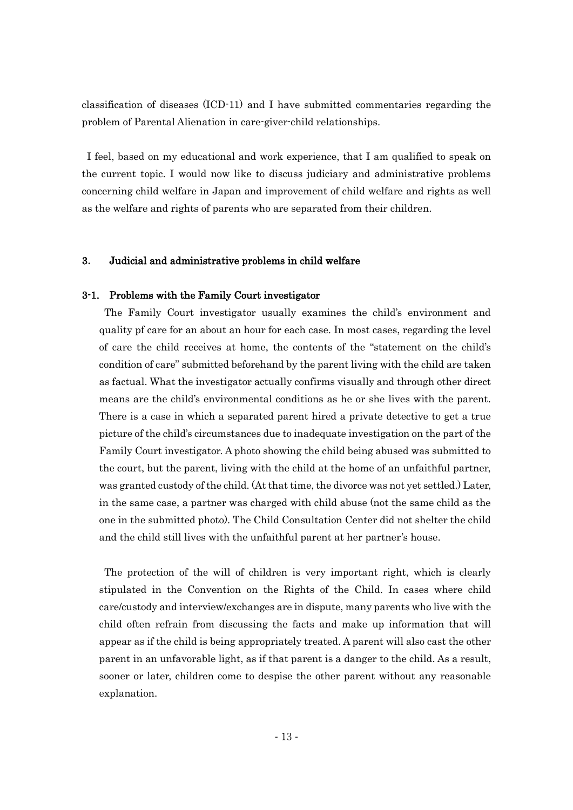classification of diseases (ICD-11) and I have submitted commentaries regarding the problem of Parental Alienation in care-giver-child relationships.

I feel, based on my educational and work experience, that I am qualified to speak on the current topic. I would now like to discuss judiciary and administrative problems concerning child welfare in Japan and improvement of child welfare and rights as well as the welfare and rights of parents who are separated from their children.

#### 3. Judicial and administrative problems in child welfare

#### 3-1. Problems with the Family Court investigator

The Family Court investigator usually examines the child's environment and quality pf care for an about an hour for each case. In most cases, regarding the level of care the child receives at home, the contents of the "statement on the child's condition of care" submitted beforehand by the parent living with the child are taken as factual. What the investigator actually confirms visually and through other direct means are the child's environmental conditions as he or she lives with the parent. There is a case in which a separated parent hired a private detective to get a true picture of the child's circumstances due to inadequate investigation on the part of the Family Court investigator. A photo showing the child being abused was submitted to the court, but the parent, living with the child at the home of an unfaithful partner, was granted custody of the child. (At that time, the divorce was not yet settled.) Later, in the same case, a partner was charged with child abuse (not the same child as the one in the submitted photo). The Child Consultation Center did not shelter the child and the child still lives with the unfaithful parent at her partner's house.

The protection of the will of children is very important right, which is clearly stipulated in the Convention on the Rights of the Child. In cases where child care/custody and interview/exchanges are in dispute, many parents who live with the child often refrain from discussing the facts and make up information that will appear as if the child is being appropriately treated. A parent will also cast the other parent in an unfavorable light, as if that parent is a danger to the child. As a result, sooner or later, children come to despise the other parent without any reasonable explanation.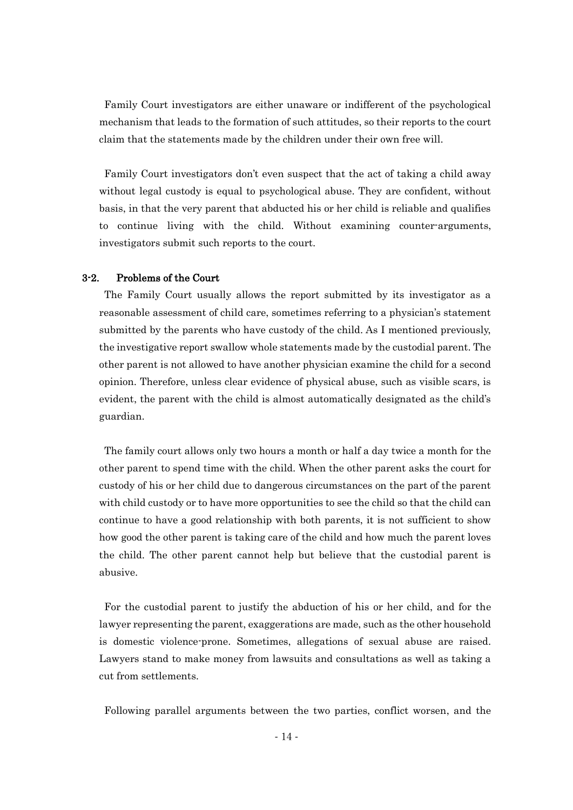Family Court investigators are either unaware or indifferent of the psychological mechanism that leads to the formation of such attitudes, so their reports to the court claim that the statements made by the children under their own free will.

Family Court investigators don't even suspect that the act of taking a child away without legal custody is equal to psychological abuse. They are confident, without basis, in that the very parent that abducted his or her child is reliable and qualifies to continue living with the child. Without examining counter-arguments, investigators submit such reports to the court.

#### 3-2. Problems of the Court

The Family Court usually allows the report submitted by its investigator as a reasonable assessment of child care, sometimes referring to a physician's statement submitted by the parents who have custody of the child. As I mentioned previously, the investigative report swallow whole statements made by the custodial parent. The other parent is not allowed to have another physician examine the child for a second opinion. Therefore, unless clear evidence of physical abuse, such as visible scars, is evident, the parent with the child is almost automatically designated as the child's guardian.

The family court allows only two hours a month or half a day twice a month for the other parent to spend time with the child. When the other parent asks the court for custody of his or her child due to dangerous circumstances on the part of the parent with child custody or to have more opportunities to see the child so that the child can continue to have a good relationship with both parents, it is not sufficient to show how good the other parent is taking care of the child and how much the parent loves the child. The other parent cannot help but believe that the custodial parent is abusive.

For the custodial parent to justify the abduction of his or her child, and for the lawyer representing the parent, exaggerations are made, such as the other household is domestic violence-prone. Sometimes, allegations of sexual abuse are raised. Lawyers stand to make money from lawsuits and consultations as well as taking a cut from settlements.

Following parallel arguments between the two parties, conflict worsen, and the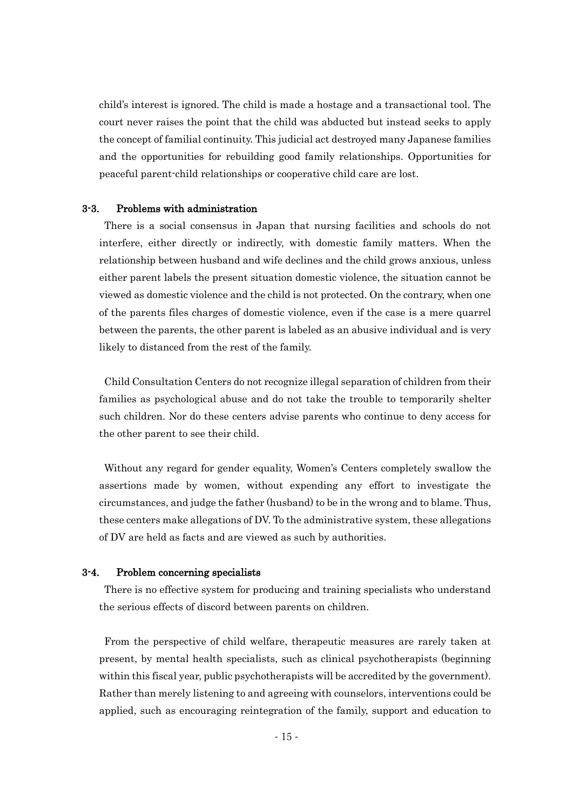child's interest is ignored. The child is made a hostage and a transactional tool. The court never raises the point that the child was abducted but instead seeks to apply the concept of familial continuity. This judicial act destroyed many Japanese families and the opportunities for rebuilding good family relationships. Opportunities for peaceful parent-child relationships or cooperative child care are lost.

#### 3-3. Problems with administration

There is a social consensus in Japan that nursing facilities and schools do not interfere, either directly or indirectly, with domestic family matters. When the relationship between husband and wife declines and the child grows anxious, unless either parent labels the present situation domestic violence, the situation cannot be viewed as domestic violence and the child is not protected. On the contrary, when one of the parents files charges of domestic violence, even if the case is a mere quarrel between the parents, the other parent is labeled as an abusive individual and is very likely to distanced from the rest of the family.

Child Consultation Centers do not recognize illegal separation of children from their families as psychological abuse and do not take the trouble to temporarily shelter such children. Nor do these centers advise parents who continue to deny access for the other parent to see their child.

Without any regard for gender equality, Women's Centers completely swallow the assertions made by women, without expending any effort to investigate the circumstances, and judge the father (husband) to be in the wrong and to blame. Thus, these centers make allegations of DV. To the administrative system, these allegations of DV are held as facts and are viewed as such by authorities.

#### 3-4. Problem concerning specialists

There is no effective system for producing and training specialists who understand the serious effects of discord between parents on children.

From the perspective of child welfare, therapeutic measures are rarely taken at present, by mental health specialists, such as clinical psychotherapists (beginning within this fiscal year, public psychotherapists will be accredited by the government). Rather than merely listening to and agreeing with counselors, interventions could be applied, such as encouraging reintegration of the family, support and education to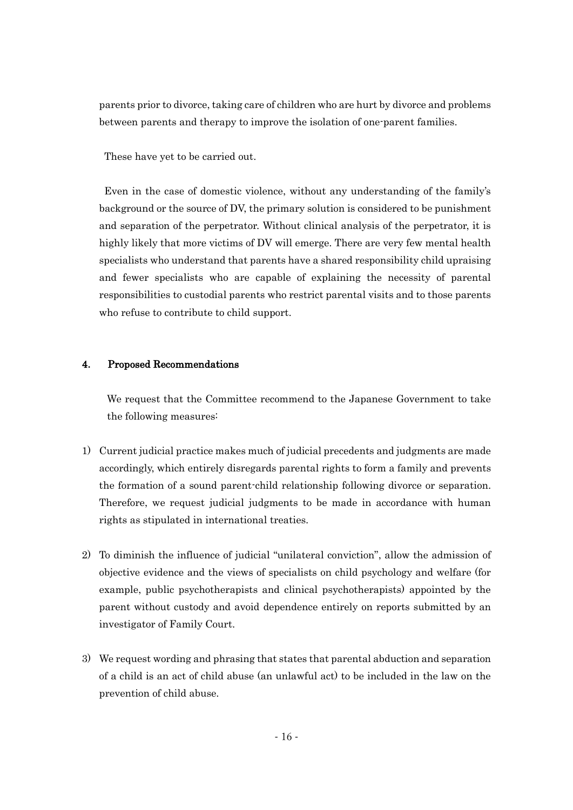parents prior to divorce, taking care of children who are hurt by divorce and problems between parents and therapy to improve the isolation of one-parent families.

These have yet to be carried out.

Even in the case of domestic violence, without any understanding of the family's background or the source of DV, the primary solution is considered to be punishment and separation of the perpetrator. Without clinical analysis of the perpetrator, it is highly likely that more victims of DV will emerge. There are very few mental health specialists who understand that parents have a shared responsibility child upraising and fewer specialists who are capable of explaining the necessity of parental responsibilities to custodial parents who restrict parental visits and to those parents who refuse to contribute to child support.

#### 4. Proposed Recommendations

 We request that the Committee recommend to the Japanese Government to take the following measures:

- 1) Current judicial practice makes much of judicial precedents and judgments are made accordingly, which entirely disregards parental rights to form a family and prevents the formation of a sound parent-child relationship following divorce or separation. Therefore, we request judicial judgments to be made in accordance with human rights as stipulated in international treaties.
- 2) To diminish the influence of judicial "unilateral conviction", allow the admission of objective evidence and the views of specialists on child psychology and welfare (for example, public psychotherapists and clinical psychotherapists) appointed by the parent without custody and avoid dependence entirely on reports submitted by an investigator of Family Court.
- 3) We request wording and phrasing that states that parental abduction and separation of a child is an act of child abuse (an unlawful act) to be included in the law on the prevention of child abuse.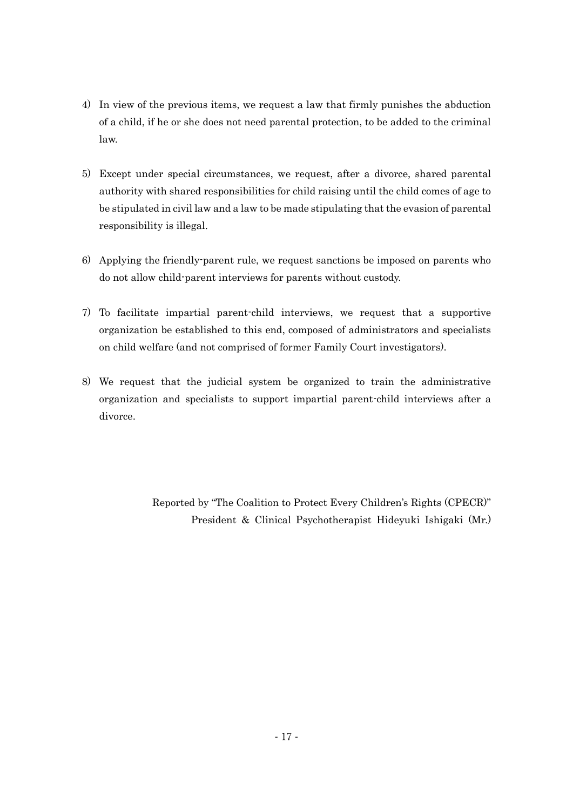- 4) In view of the previous items, we request a law that firmly punishes the abduction of a child, if he or she does not need parental protection, to be added to the criminal law.
- 5) Except under special circumstances, we request, after a divorce, shared parental authority with shared responsibilities for child raising until the child comes of age to be stipulated in civil law and a law to be made stipulating that the evasion of parental responsibility is illegal.
- 6) Applying the friendly-parent rule, we request sanctions be imposed on parents who do not allow child-parent interviews for parents without custody.
- 7) To facilitate impartial parent-child interviews, we request that a supportive organization be established to this end, composed of administrators and specialists on child welfare (and not comprised of former Family Court investigators).
- 8) We request that the judicial system be organized to train the administrative organization and specialists to support impartial parent-child interviews after a divorce.

Reported by "The Coalition to Protect Every Children's Rights (CPECR)" President & Clinical Psychotherapist Hideyuki Ishigaki (Mr.)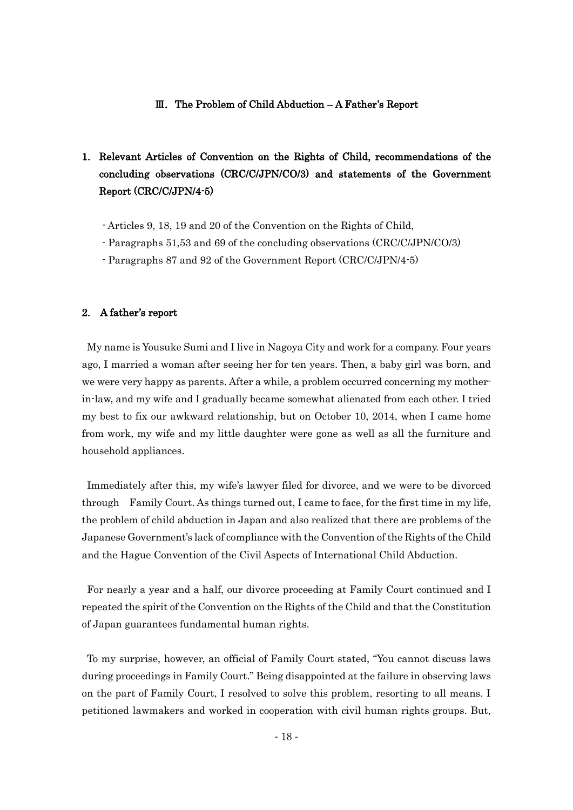#### Ⅲ.The Problem of Child Abduction – A Father's Report

### 1. Relevant Articles of Convention on the Rights of Child, recommendations of the concluding observations (CRC/C/JPN/CO/3) and statements of the Government Report (CRC/C/JPN/4-5)

- Articles 9, 18, 19 and 20 of the Convention on the Rights of Child,
- Paragraphs 51,53 and 69 of the concluding observations (CRC/C/JPN/CO/3)
- Paragraphs 87 and 92 of the Government Report (CRC/C/JPN/4-5)

#### 2. A father's report

My name is Yousuke Sumi and I live in Nagoya City and work for a company. Four years ago, I married a woman after seeing her for ten years. Then, a baby girl was born, and we were very happy as parents. After a while, a problem occurred concerning my motherin-law, and my wife and I gradually became somewhat alienated from each other. I tried my best to fix our awkward relationship, but on October 10, 2014, when I came home from work, my wife and my little daughter were gone as well as all the furniture and household appliances.

Immediately after this, my wife's lawyer filed for divorce, and we were to be divorced through Family Court. As things turned out, I came to face, for the first time in my life, the problem of child abduction in Japan and also realized that there are problems of the Japanese Government's lack of compliance with the Convention of the Rights of the Child and the Hague Convention of the Civil Aspects of International Child Abduction.

For nearly a year and a half, our divorce proceeding at Family Court continued and I repeated the spirit of the Convention on the Rights of the Child and that the Constitution of Japan guarantees fundamental human rights.

To my surprise, however, an official of Family Court stated, "You cannot discuss laws during proceedings in Family Court." Being disappointed at the failure in observing laws on the part of Family Court, I resolved to solve this problem, resorting to all means. I petitioned lawmakers and worked in cooperation with civil human rights groups. But,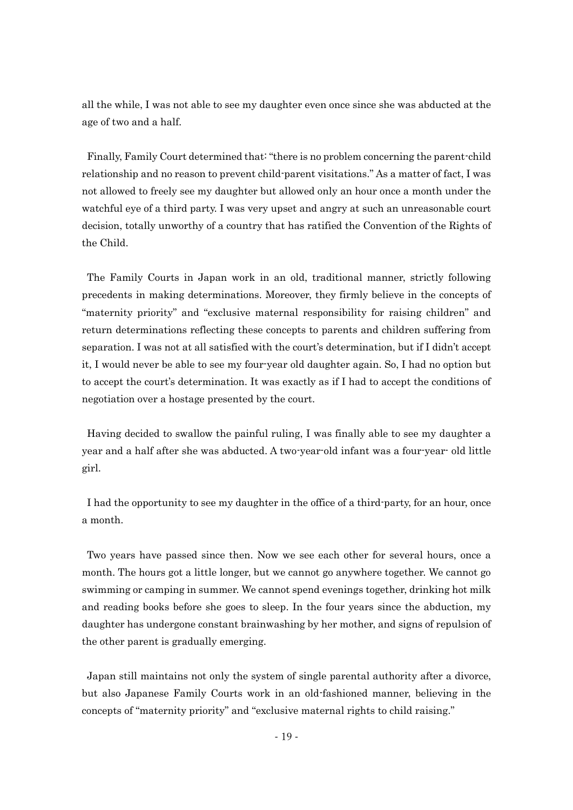all the while, I was not able to see my daughter even once since she was abducted at the age of two and a half.

Finally, Family Court determined that: "there is no problem concerning the parent-child relationship and no reason to prevent child-parent visitations." As a matter of fact, I was not allowed to freely see my daughter but allowed only an hour once a month under the watchful eye of a third party. I was very upset and angry at such an unreasonable court decision, totally unworthy of a country that has ratified the Convention of the Rights of the Child.

The Family Courts in Japan work in an old, traditional manner, strictly following precedents in making determinations. Moreover, they firmly believe in the concepts of "maternity priority" and "exclusive maternal responsibility for raising children" and return determinations reflecting these concepts to parents and children suffering from separation. I was not at all satisfied with the court's determination, but if I didn't accept it, I would never be able to see my four-year old daughter again. So, I had no option but to accept the court's determination. It was exactly as if I had to accept the conditions of negotiation over a hostage presented by the court.

Having decided to swallow the painful ruling, I was finally able to see my daughter a year and a half after she was abducted. A two-year-old infant was a four-year- old little girl.

I had the opportunity to see my daughter in the office of a third-party, for an hour, once a month.

Two years have passed since then. Now we see each other for several hours, once a month. The hours got a little longer, but we cannot go anywhere together. We cannot go swimming or camping in summer. We cannot spend evenings together, drinking hot milk and reading books before she goes to sleep. In the four years since the abduction, my daughter has undergone constant brainwashing by her mother, and signs of repulsion of the other parent is gradually emerging.

Japan still maintains not only the system of single parental authority after a divorce, but also Japanese Family Courts work in an old-fashioned manner, believing in the concepts of "maternity priority" and "exclusive maternal rights to child raising."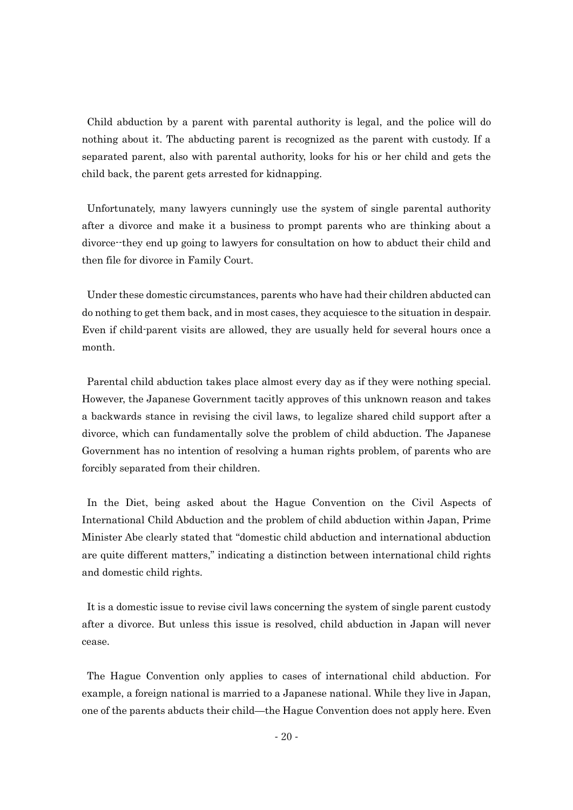Child abduction by a parent with parental authority is legal, and the police will do nothing about it. The abducting parent is recognized as the parent with custody. If a separated parent, also with parental authority, looks for his or her child and gets the child back, the parent gets arrested for kidnapping.

Unfortunately, many lawyers cunningly use the system of single parental authority after a divorce and make it a business to prompt parents who are thinking about a divorce--they end up going to lawyers for consultation on how to abduct their child and then file for divorce in Family Court.

Under these domestic circumstances, parents who have had their children abducted can do nothing to get them back, and in most cases, they acquiesce to the situation in despair. Even if child-parent visits are allowed, they are usually held for several hours once a month.

Parental child abduction takes place almost every day as if they were nothing special. However, the Japanese Government tacitly approves of this unknown reason and takes a backwards stance in revising the civil laws, to legalize shared child support after a divorce, which can fundamentally solve the problem of child abduction. The Japanese Government has no intention of resolving a human rights problem, of parents who are forcibly separated from their children.

In the Diet, being asked about the Hague Convention on the Civil Aspects of International Child Abduction and the problem of child abduction within Japan, Prime Minister Abe clearly stated that "domestic child abduction and international abduction are quite different matters," indicating a distinction between international child rights and domestic child rights.

It is a domestic issue to revise civil laws concerning the system of single parent custody after a divorce. But unless this issue is resolved, child abduction in Japan will never cease.

The Hague Convention only applies to cases of international child abduction. For example, a foreign national is married to a Japanese national. While they live in Japan, one of the parents abducts their child—the Hague Convention does not apply here. Even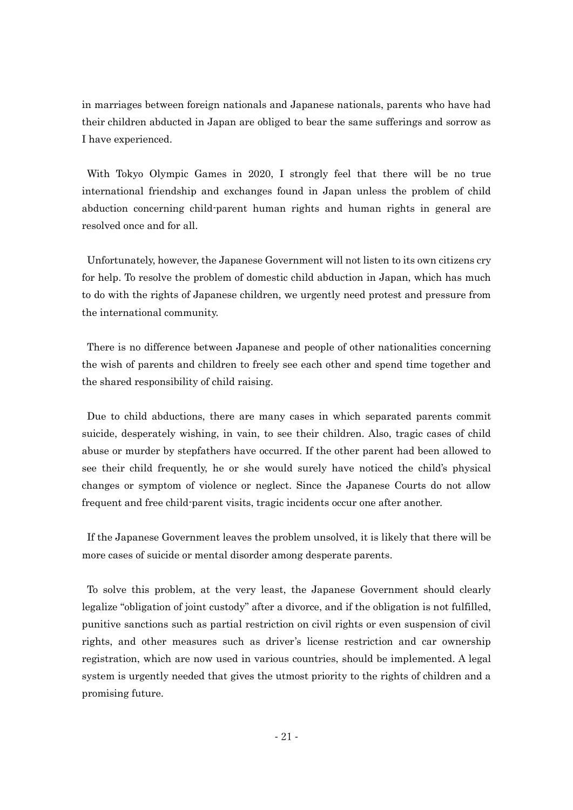in marriages between foreign nationals and Japanese nationals, parents who have had their children abducted in Japan are obliged to bear the same sufferings and sorrow as I have experienced.

With Tokyo Olympic Games in 2020, I strongly feel that there will be no true international friendship and exchanges found in Japan unless the problem of child abduction concerning child-parent human rights and human rights in general are resolved once and for all.

Unfortunately, however, the Japanese Government will not listen to its own citizens cry for help. To resolve the problem of domestic child abduction in Japan, which has much to do with the rights of Japanese children, we urgently need protest and pressure from the international community.

There is no difference between Japanese and people of other nationalities concerning the wish of parents and children to freely see each other and spend time together and the shared responsibility of child raising.

Due to child abductions, there are many cases in which separated parents commit suicide, desperately wishing, in vain, to see their children. Also, tragic cases of child abuse or murder by stepfathers have occurred. If the other parent had been allowed to see their child frequently, he or she would surely have noticed the child's physical changes or symptom of violence or neglect. Since the Japanese Courts do not allow frequent and free child-parent visits, tragic incidents occur one after another.

If the Japanese Government leaves the problem unsolved, it is likely that there will be more cases of suicide or mental disorder among desperate parents.

To solve this problem, at the very least, the Japanese Government should clearly legalize "obligation of joint custody" after a divorce, and if the obligation is not fulfilled, punitive sanctions such as partial restriction on civil rights or even suspension of civil rights, and other measures such as driver's license restriction and car ownership registration, which are now used in various countries, should be implemented. A legal system is urgently needed that gives the utmost priority to the rights of children and a promising future.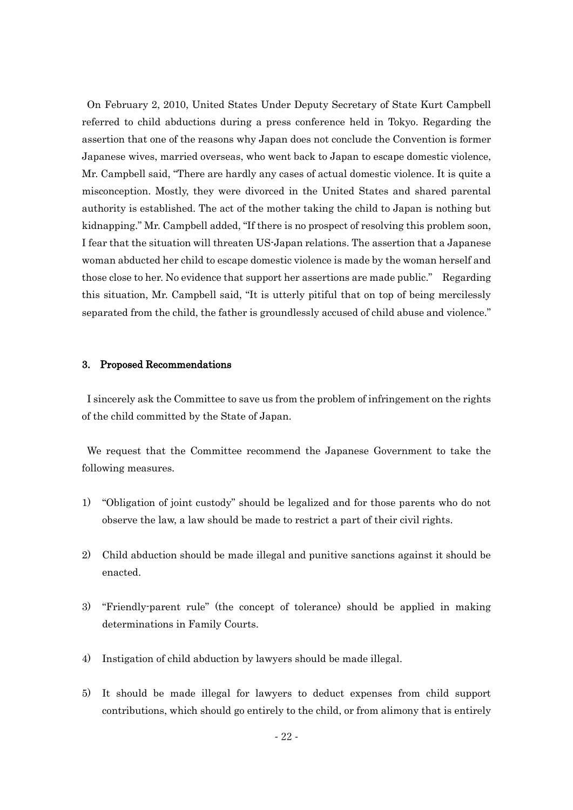On February 2, 2010, United States Under Deputy Secretary of State Kurt Campbell referred to child abductions during a press conference held in Tokyo. Regarding the assertion that one of the reasons why Japan does not conclude the Convention is former Japanese wives, married overseas, who went back to Japan to escape domestic violence, Mr. Campbell said, "There are hardly any cases of actual domestic violence. It is quite a misconception. Mostly, they were divorced in the United States and shared parental authority is established. The act of the mother taking the child to Japan is nothing but kidnapping." Mr. Campbell added, "If there is no prospect of resolving this problem soon, I fear that the situation will threaten US-Japan relations. The assertion that a Japanese woman abducted her child to escape domestic violence is made by the woman herself and those close to her. No evidence that support her assertions are made public." Regarding this situation, Mr. Campbell said, "It is utterly pitiful that on top of being mercilessly separated from the child, the father is groundlessly accused of child abuse and violence."

#### 3. Proposed Recommendations

I sincerely ask the Committee to save us from the problem of infringement on the rights of the child committed by the State of Japan.

We request that the Committee recommend the Japanese Government to take the following measures.

- 1) "Obligation of joint custody" should be legalized and for those parents who do not observe the law, a law should be made to restrict a part of their civil rights.
- 2) Child abduction should be made illegal and punitive sanctions against it should be enacted.
- 3) "Friendly-parent rule" (the concept of tolerance) should be applied in making determinations in Family Courts.
- 4) Instigation of child abduction by lawyers should be made illegal.
- 5) It should be made illegal for lawyers to deduct expenses from child support contributions, which should go entirely to the child, or from alimony that is entirely